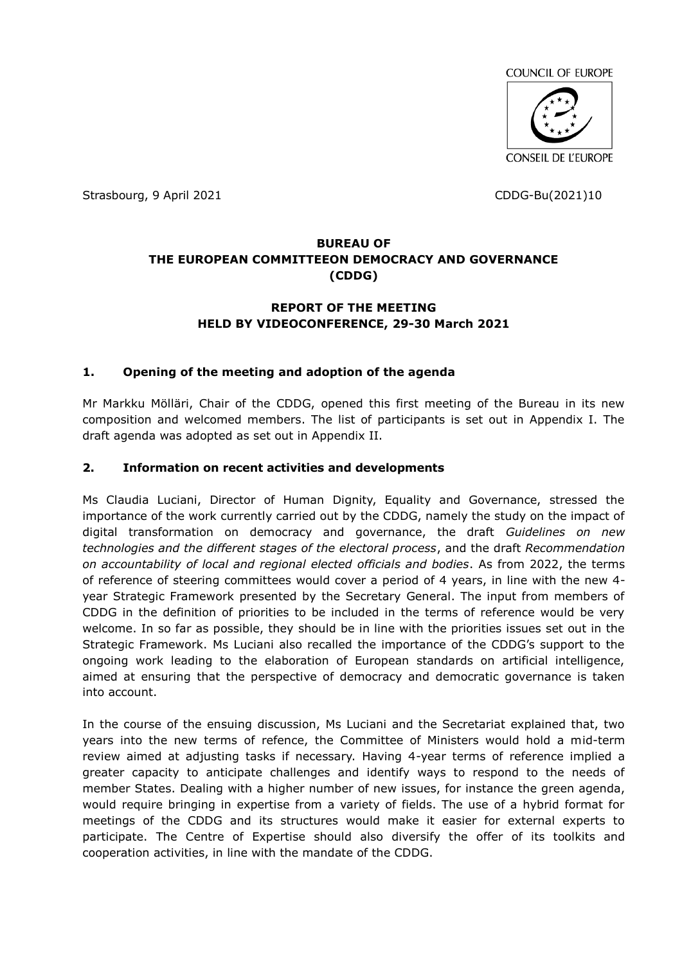**COUNCIL OF EUROPE** 



Strasbourg, 9 April 2021 CDDG-Bu(2021)10

## **BUREAU OF THE EUROPEAN COMMITTEEON DEMOCRACY AND GOVERNANCE (CDDG)**

### **REPORT OF THE MEETING HELD BY VIDEOCONFERENCE, 29-30 March 2021**

### **1. Opening of the meeting and adoption of the agenda**

Mr Markku Mölläri, Chair of the CDDG, opened this first meeting of the Bureau in its new composition and welcomed members. The list of participants is set out in Appendix I. The draft agenda was adopted as set out in Appendix II.

#### **2. Information on recent activities and developments**

Ms Claudia Luciani, Director of Human Dignity, Equality and Governance, stressed the importance of the work currently carried out by the CDDG, namely the study on the impact of digital transformation on democracy and governance, the draft *Guidelines on new technologies and the different stages of the electoral process*, and the draft *Recommendation on accountability of local and regional elected officials and bodies*. As from 2022, the terms of reference of steering committees would cover a period of 4 years, in line with the new 4 year Strategic Framework presented by the Secretary General. The input from members of CDDG in the definition of priorities to be included in the terms of reference would be very welcome. In so far as possible, they should be in line with the priorities issues set out in the Strategic Framework. Ms Luciani also recalled the importance of the CDDG's support to the ongoing work leading to the elaboration of European standards on artificial intelligence, aimed at ensuring that the perspective of democracy and democratic governance is taken into account.

In the course of the ensuing discussion, Ms Luciani and the Secretariat explained that, two years into the new terms of refence, the Committee of Ministers would hold a mid-term review aimed at adjusting tasks if necessary. Having 4-year terms of reference implied a greater capacity to anticipate challenges and identify ways to respond to the needs of member States. Dealing with a higher number of new issues, for instance the green agenda, would require bringing in expertise from a variety of fields. The use of a hybrid format for meetings of the CDDG and its structures would make it easier for external experts to participate. The Centre of Expertise should also diversify the offer of its toolkits and cooperation activities, in line with the mandate of the CDDG.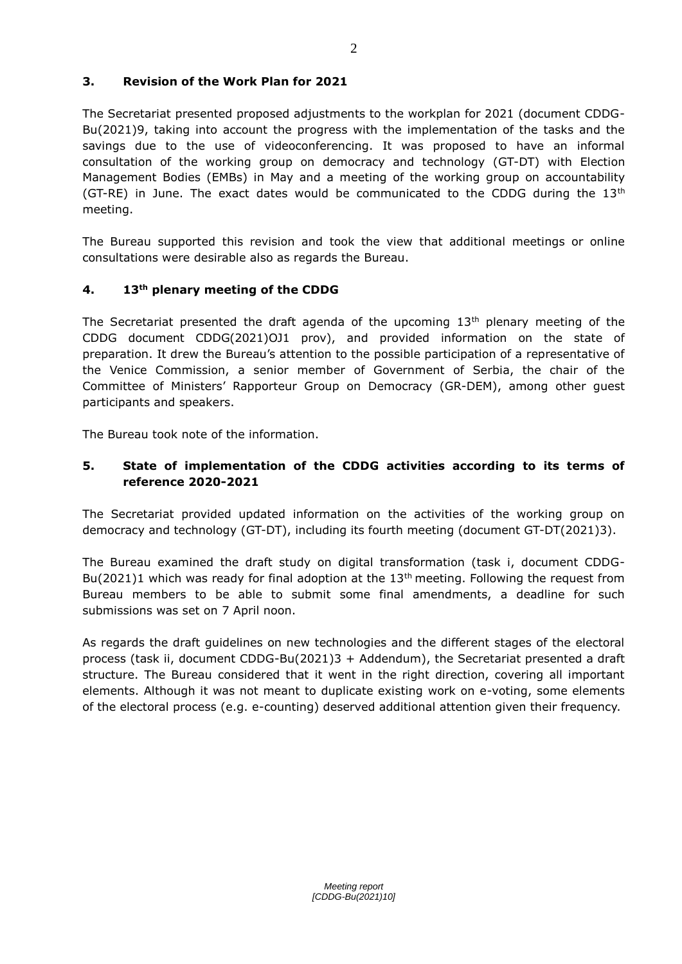## **3. Revision of the Work Plan for 2021**

The Secretariat presented proposed adjustments to the workplan for 2021 (document CDDG-Bu(2021)9, taking into account the progress with the implementation of the tasks and the savings due to the use of videoconferencing. It was proposed to have an informal consultation of the working group on democracy and technology (GT-DT) with Election Management Bodies (EMBs) in May and a meeting of the working group on accountability (GT-RE) in June. The exact dates would be communicated to the CDDG during the  $13<sup>th</sup>$ meeting.

The Bureau supported this revision and took the view that additional meetings or online consultations were desirable also as regards the Bureau.

## **4. 13th plenary meeting of the CDDG**

The Secretariat presented the draft agenda of the upcoming  $13<sup>th</sup>$  plenary meeting of the CDDG document CDDG(2021)OJ1 prov), and provided information on the state of preparation. It drew the Bureau's attention to the possible participation of a representative of the Venice Commission, a senior member of Government of Serbia, the chair of the Committee of Ministers' Rapporteur Group on Democracy (GR-DEM), among other guest participants and speakers.

The Bureau took note of the information.

## **5. State of implementation of the CDDG activities according to its terms of reference 2020-2021**

The Secretariat provided updated information on the activities of the working group on democracy and technology (GT-DT), including its fourth meeting (document GT-DT(2021)3).

The Bureau examined the draft study on digital transformation (task i, document CDDG-Bu(2021)1 which was ready for final adoption at the  $13<sup>th</sup>$  meeting. Following the request from Bureau members to be able to submit some final amendments, a deadline for such submissions was set on 7 April noon.

As regards the draft guidelines on new technologies and the different stages of the electoral process (task ii, document CDDG-Bu(2021)3 + Addendum), the Secretariat presented a draft structure. The Bureau considered that it went in the right direction, covering all important elements. Although it was not meant to duplicate existing work on e-voting, some elements of the electoral process (e.g. e-counting) deserved additional attention given their frequency.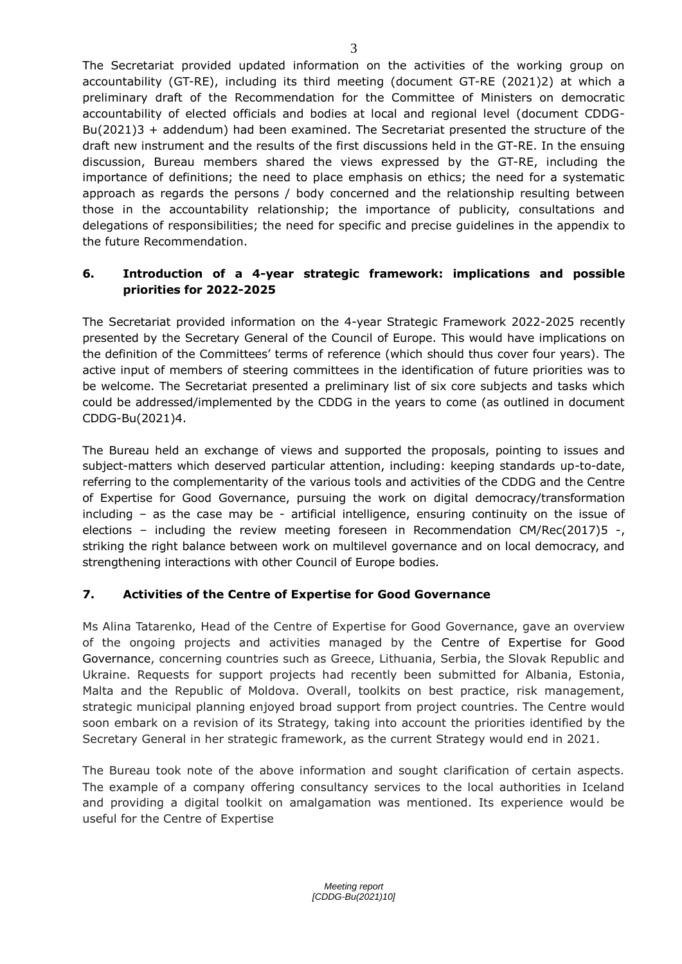The Secretariat provided updated information on the activities of the working group on accountability (GT-RE), including its third meeting (document GT-RE (2021)2) at which a preliminary draft of the Recommendation for the Committee of Ministers on democratic accountability of elected officials and bodies at local and regional level (document CDDG-Bu(2021)3 + addendum) had been examined. The Secretariat presented the structure of the draft new instrument and the results of the first discussions held in the GT-RE. In the ensuing discussion, Bureau members shared the views expressed by the GT-RE, including the importance of definitions; the need to place emphasis on ethics; the need for a systematic approach as regards the persons / body concerned and the relationship resulting between those in the accountability relationship; the importance of publicity, consultations and delegations of responsibilities; the need for specific and precise guidelines in the appendix to the future Recommendation.

## **6. Introduction of a 4-year strategic framework: implications and possible priorities for 2022-2025**

The Secretariat provided information on the 4-year Strategic Framework 2022-2025 recently presented by the Secretary General of the Council of Europe. This would have implications on the definition of the Committees' terms of reference (which should thus cover four years). The active input of members of steering committees in the identification of future priorities was to be welcome. The Secretariat presented a preliminary list of six core subjects and tasks which could be addressed/implemented by the CDDG in the years to come (as outlined in document CDDG-Bu(2021)4.

The Bureau held an exchange of views and supported the proposals, pointing to issues and subject-matters which deserved particular attention, including: keeping standards up-to-date, referring to the complementarity of the various tools and activities of the CDDG and the Centre of Expertise for Good Governance, pursuing the work on digital democracy/transformation including – as the case may be - artificial intelligence, ensuring continuity on the issue of elections – including the review meeting foreseen in Recommendation CM/Rec(2017)5 -, striking the right balance between work on multilevel governance and on local democracy, and strengthening interactions with other Council of Europe bodies.

# **7. Activities of the Centre of Expertise for Good Governance**

Ms Alina Tatarenko, Head of the Centre of Expertise for Good Governance, gave an overview of the ongoing projects and activities managed by the Centre of Expertise for Good Governance, concerning countries such as Greece, Lithuania, Serbia, the Slovak Republic and Ukraine. Requests for support projects had recently been submitted for Albania, Estonia, Malta and the Republic of Moldova. Overall, toolkits on best practice, risk management, strategic municipal planning enjoyed broad support from project countries. The Centre would soon embark on a revision of its Strategy, taking into account the priorities identified by the Secretary General in her strategic framework, as the current Strategy would end in 2021.

The Bureau took note of the above information and sought clarification of certain aspects. The example of a company offering consultancy services to the local authorities in Iceland and providing a digital toolkit on amalgamation was mentioned. Its experience would be useful for the Centre of Expertise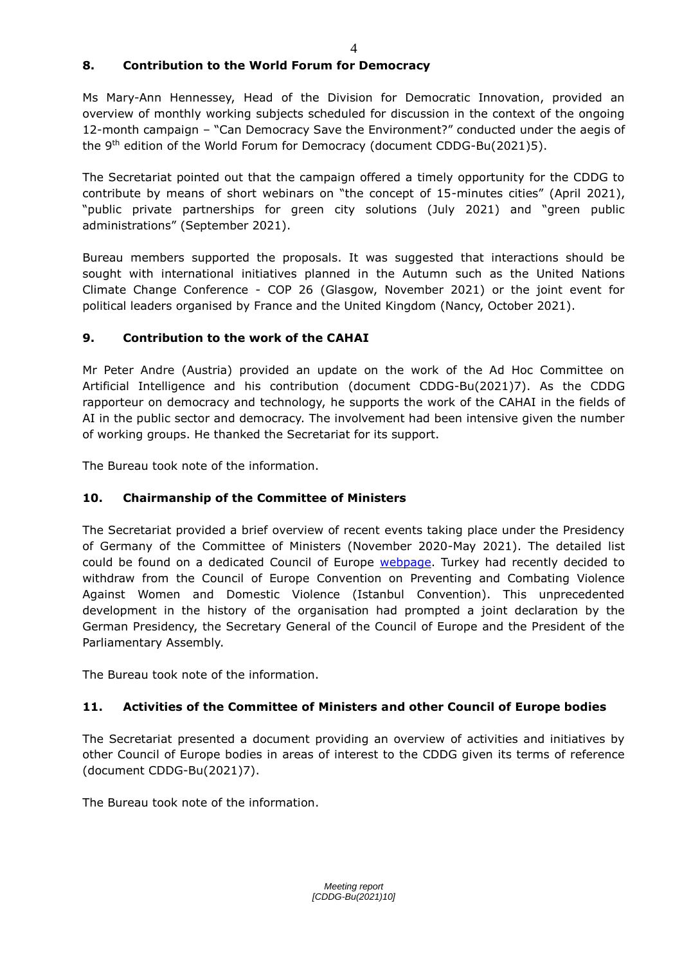## **8. Contribution to the World Forum for Democracy**

Ms Mary-Ann Hennessey, Head of the Division for Democratic Innovation, provided an overview of monthly working subjects scheduled for discussion in the context of the ongoing 12-month campaign – "Can Democracy Save the Environment?" conducted under the aegis of the 9<sup>th</sup> edition of the World Forum for Democracy (document CDDG-Bu(2021)5).

The Secretariat pointed out that the campaign offered a timely opportunity for the CDDG to contribute by means of short webinars on "the concept of 15-minutes cities" (April 2021), "public private partnerships for green city solutions (July 2021) and "green public administrations" (September 2021).

Bureau members supported the proposals. It was suggested that interactions should be sought with international initiatives planned in the Autumn such as the United Nations Climate Change Conference - COP 26 (Glasgow, November 2021) or the joint event for political leaders organised by France and the United Kingdom (Nancy, October 2021).

### **9. Contribution to the work of the CAHAI**

Mr Peter Andre (Austria) provided an update on the work of the Ad Hoc Committee on Artificial Intelligence and his contribution (document CDDG-Bu(2021)7). As the CDDG rapporteur on democracy and technology, he supports the work of the CAHAI in the fields of AI in the public sector and democracy. The involvement had been intensive given the number of working groups. He thanked the Secretariat for its support.

The Bureau took note of the information.

## **10. Chairmanship of the Committee of Ministers**

The Secretariat provided a brief overview of recent events taking place under the Presidency of Germany of the Committee of Ministers (November 2020-May 2021). The detailed list could be found on a dedicated Council of Europe [webpage.](https://www.coe.int/en/web/presidency) Turkey had recently decided to withdraw from the Council of Europe Convention on Preventing and Combating Violence Against Women and Domestic Violence (Istanbul Convention). This unprecedented development in the history of the organisation had prompted a joint declaration by the German Presidency, the Secretary General of the Council of Europe and the President of the Parliamentary Assembly.

The Bureau took note of the information.

## **11. Activities of the Committee of Ministers and other Council of Europe bodies**

The Secretariat presented a document providing an overview of activities and initiatives by other Council of Europe bodies in areas of interest to the CDDG given its terms of reference (document CDDG-Bu(2021)7).

The Bureau took note of the information.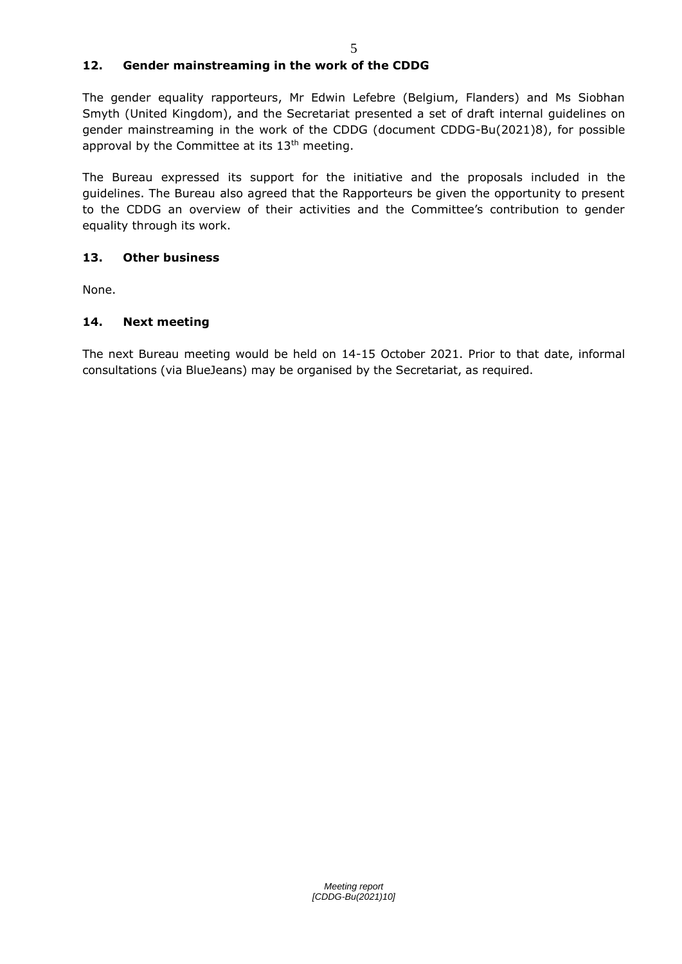### **12. Gender mainstreaming in the work of the CDDG**

The gender equality rapporteurs, Mr Edwin Lefebre (Belgium, Flanders) and Ms Siobhan Smyth (United Kingdom), and the Secretariat presented a set of draft internal guidelines on gender mainstreaming in the work of the CDDG (document CDDG-Bu(2021)8), for possible approval by the Committee at its 13<sup>th</sup> meeting.

The Bureau expressed its support for the initiative and the proposals included in the guidelines. The Bureau also agreed that the Rapporteurs be given the opportunity to present to the CDDG an overview of their activities and the Committee's contribution to gender equality through its work.

### **13. Other business**

None.

#### **14. Next meeting**

The next Bureau meeting would be held on 14-15 October 2021. Prior to that date, informal consultations (via BlueJeans) may be organised by the Secretariat, as required.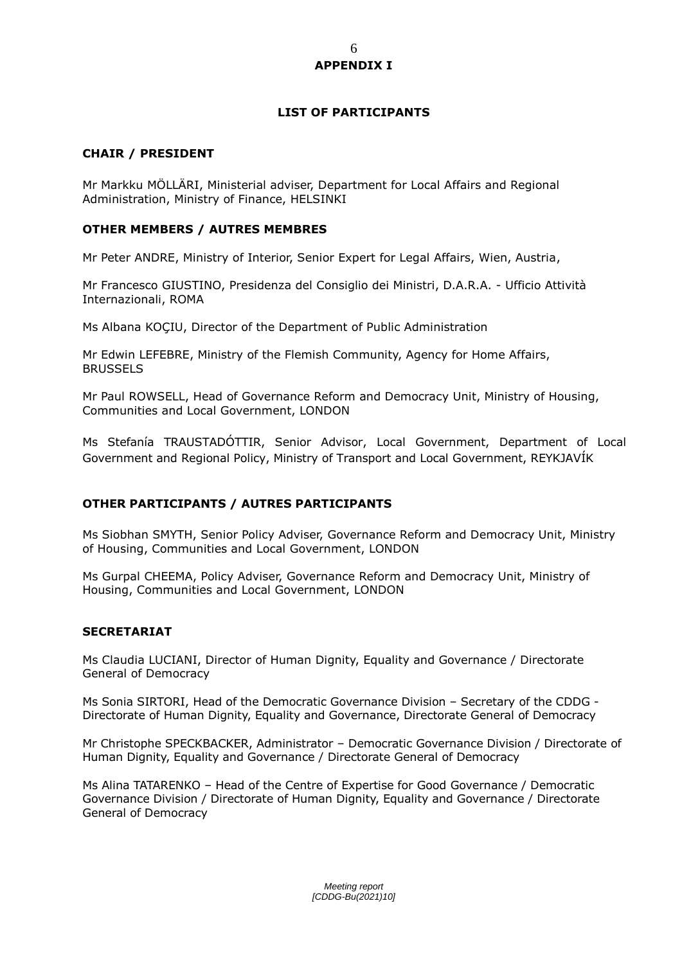### **LIST OF PARTICIPANTS**

#### **CHAIR / PRESIDENT**

Mr Markku MÖLLÄRI, Ministerial adviser, Department for Local Affairs and Regional Administration, Ministry of Finance, HELSINKI

#### **OTHER MEMBERS / AUTRES MEMBRES**

Mr Peter ANDRE, Ministry of Interior, Senior Expert for Legal Affairs, Wien, Austria,

Mr Francesco GIUSTINO, Presidenza del Consiglio dei Ministri, D.A.R.A. - Ufficio Attività Internazionali, ROMA

Ms Albana KOÇIU, Director of the Department of Public Administration

Mr Edwin LEFEBRE, Ministry of the Flemish Community, Agency for Home Affairs, **BRUSSELS** 

Mr Paul ROWSELL, Head of Governance Reform and Democracy Unit, Ministry of Housing, Communities and Local Government, LONDON

Ms Stefanía TRAUSTADÓTTIR, Senior Advisor, Local Government, Department of Local Government and Regional Policy, Ministry of Transport and Local Government, REYKJAVÍK

### **OTHER PARTICIPANTS / AUTRES PARTICIPANTS**

Ms Siobhan SMYTH, Senior Policy Adviser, Governance Reform and Democracy Unit, Ministry of Housing, Communities and Local Government, LONDON

Ms Gurpal CHEEMA, Policy Adviser, Governance Reform and Democracy Unit, Ministry of Housing, Communities and Local Government, LONDON

#### **SECRETARIAT**

Ms Claudia LUCIANI, Director of Human Dignity, Equality and Governance / Directorate General of Democracy

Ms Sonia SIRTORI, Head of the Democratic Governance Division – Secretary of the CDDG - Directorate of Human Dignity, Equality and Governance, Directorate General of Democracy

Mr Christophe SPECKBACKER, Administrator – Democratic Governance Division / Directorate of Human Dignity, Equality and Governance / Directorate General of Democracy

Ms Alina TATARENKO – Head of the Centre of Expertise for Good Governance / Democratic Governance Division / Directorate of Human Dignity, Equality and Governance / Directorate General of Democracy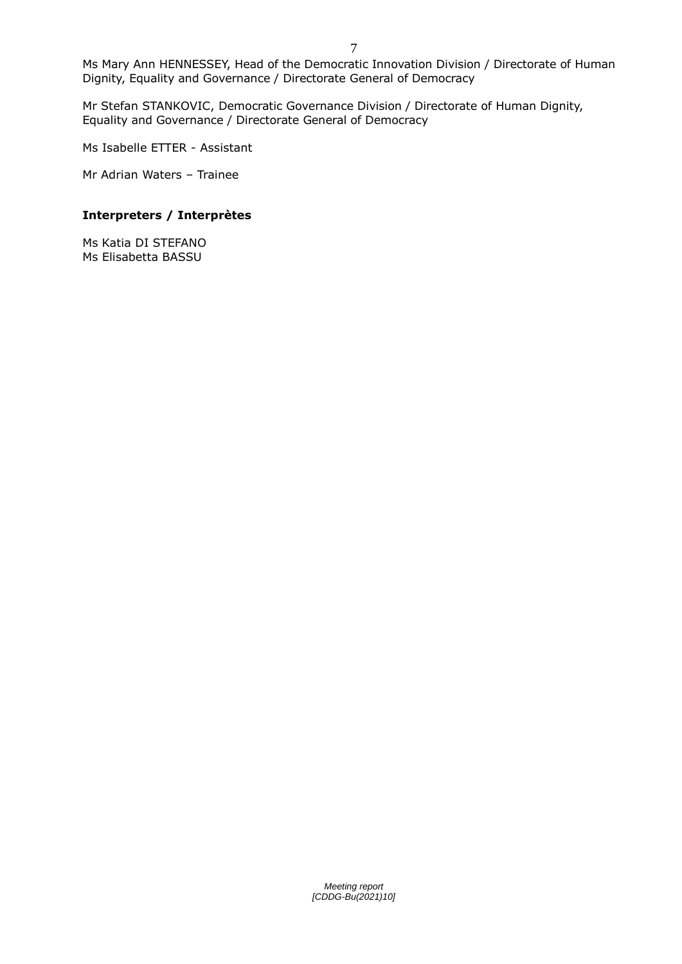Ms Mary Ann HENNESSEY, Head of the Democratic Innovation Division / Directorate of Human Dignity, Equality and Governance / Directorate General of Democracy

Mr Stefan STANKOVIC, Democratic Governance Division / Directorate of Human Dignity, Equality and Governance / Directorate General of Democracy

Ms Isabelle ETTER - Assistant

Mr Adrian Waters – Trainee

#### **Interpreters / Interprètes**

Ms Katia DI STEFANO Ms Elisabetta BASSU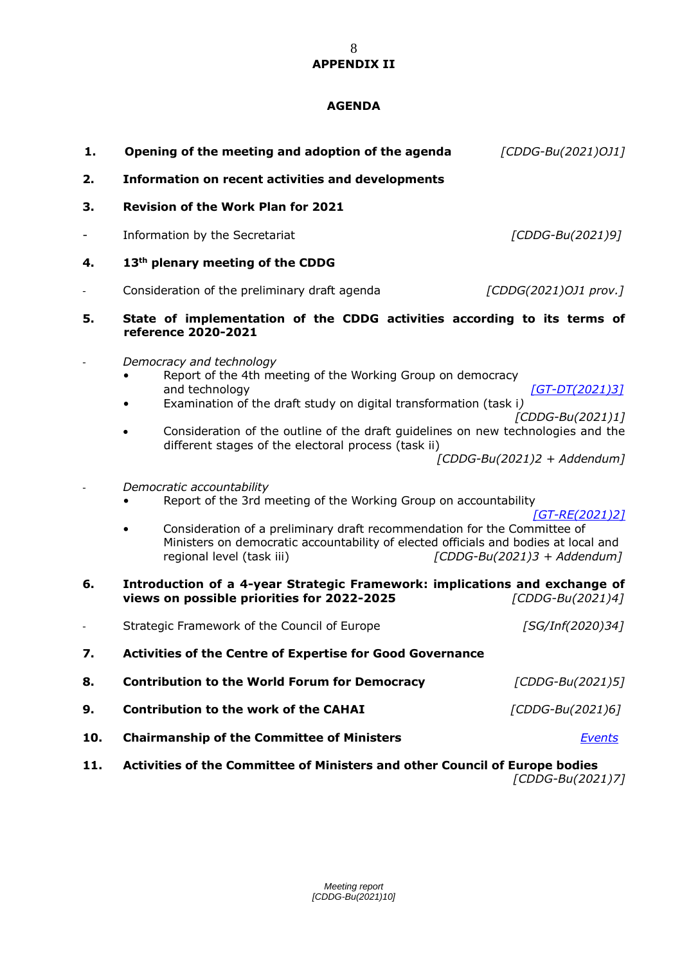#### 8 **APPENDIX II**

### **AGENDA**

| 1.  | Opening of the meeting and adoption of the agenda                                                                                                                                                                                                                                                                         | [CDDG-Bu(2021)OJ1]                                                  |
|-----|---------------------------------------------------------------------------------------------------------------------------------------------------------------------------------------------------------------------------------------------------------------------------------------------------------------------------|---------------------------------------------------------------------|
| 2.  | <b>Information on recent activities and developments</b>                                                                                                                                                                                                                                                                  |                                                                     |
| 3.  | <b>Revision of the Work Plan for 2021</b>                                                                                                                                                                                                                                                                                 |                                                                     |
|     | Information by the Secretariat<br>[CDDG-Bu(2021)9]                                                                                                                                                                                                                                                                        |                                                                     |
| 4.  | 13 <sup>th</sup> plenary meeting of the CDDG                                                                                                                                                                                                                                                                              |                                                                     |
|     | Consideration of the preliminary draft agenda                                                                                                                                                                                                                                                                             | [CDDG(2021)OJ1 prov.]                                               |
| 5.  | State of implementation of the CDDG activities according to its terms of<br>reference 2020-2021                                                                                                                                                                                                                           |                                                                     |
|     | Democracy and technology<br>Report of the 4th meeting of the Working Group on democracy<br>and technology<br>Examination of the draft study on digital transformation (task i)<br>Consideration of the outline of the draft guidelines on new technologies and the<br>different stages of the electoral process (task ii) | [GT-DT(2021)3]<br>[CDDG-Bu(2021)1]<br>$[CDDG-Bu(2021)2 + Addendum]$ |
|     | Democratic accountability<br>Report of the 3rd meeting of the Working Group on accountability                                                                                                                                                                                                                             |                                                                     |
|     | Consideration of a preliminary draft recommendation for the Committee of<br>Ministers on democratic accountability of elected officials and bodies at local and<br>regional level (task iii)                                                                                                                              | [GT-RE(2021)2]<br>$[CDDG-Bu(2021)3 + Addendum]$                     |
| 6.  | Introduction of a 4-year Strategic Framework: implications and exchange of<br>views on possible priorities for 2022-2025                                                                                                                                                                                                  | [CDDG-Bu(2021)4]                                                    |
|     | Strategic Framework of the Council of Europe                                                                                                                                                                                                                                                                              | [SG/Inf(2020)34]                                                    |
| 7.  | <b>Activities of the Centre of Expertise for Good Governance</b>                                                                                                                                                                                                                                                          |                                                                     |
| 8.  | <b>Contribution to the World Forum for Democracy</b>                                                                                                                                                                                                                                                                      | [CDDG-Bu(2021)5]                                                    |
| 9.  | <b>Contribution to the work of the CAHAI</b><br>[CDDG-Bu(2021)6]                                                                                                                                                                                                                                                          |                                                                     |
| 10. | <b>Chairmanship of the Committee of Ministers</b>                                                                                                                                                                                                                                                                         | <b>Events</b>                                                       |
| 11. | Activities of the Committee of Ministers and other Council of Europe bodies                                                                                                                                                                                                                                               |                                                                     |

*[CDDG-Bu(2021)7]*